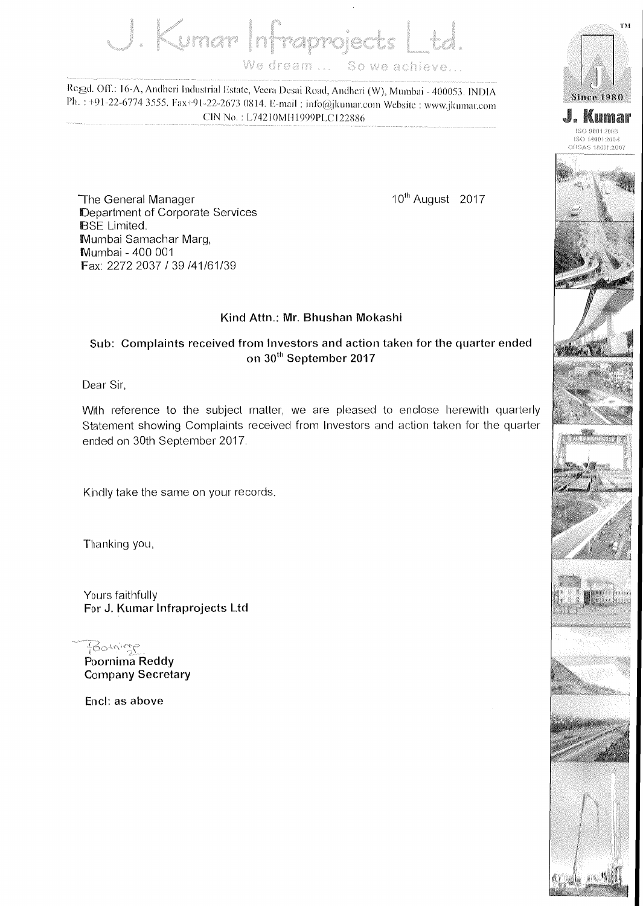J. Kumar Infraprojects We dream ... So we achieve

Regd. Off.: 16-A, Andheri Industrial Estate, Veera Desai Road, Andheri (W), Mumbai - 400053. INDIA Ph.: +91-22-6774 3555. Fax+91-22-2673 0814. E-mail: info@jkumar.com Website: www.jkumar.com CIN No.: L74210MH1999PLC122886



10<sup>th</sup> August 2017



TM.



## **Sub: Complaints received from Investors and action taken for the quarter ended oil 30th September 2017**

Dear Sir,

With reference to the subject matter, we are pleased to enclose herewith quarterly Statement showing Complaints received from Investors and action taken for the quarter ended on 30th September 2017.

Kindly take the same on your records.

Thanking you,

Yours faithfully **For J. Kumar Infraprojects Ltd** 

Potrings **Poornima Reddy Company Secretary** 

Encl: as above